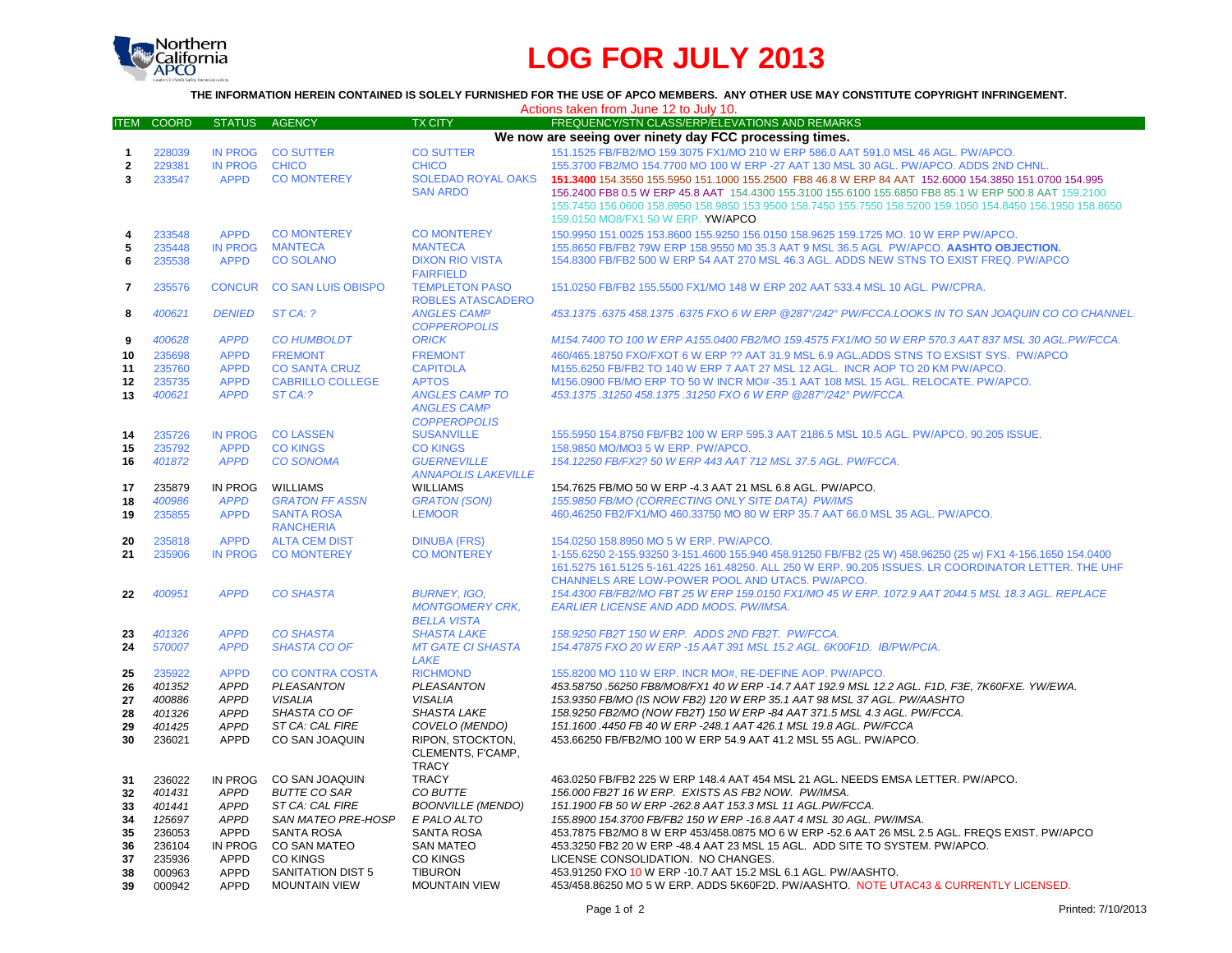

## **LOG FOR JULY 2013**

**THE INFORMATION HEREIN CONTAINED IS SOLELY FURNISHED FOR THE USE OF APCO MEMBERS. ANY OTHER USE MAY CONSTITUTE COPYRIGHT INFRINGEMENT.**

| Actions taken from June 12 to July 10. |                  |                |                           |                                          |                                                                                                             |  |  |  |  |  |
|----------------------------------------|------------------|----------------|---------------------------|------------------------------------------|-------------------------------------------------------------------------------------------------------------|--|--|--|--|--|
| ITEM                                   | <b>COORD</b>     | <b>STATUS</b>  | <b>AGENCY</b>             | <b>TX CITY</b>                           | FREQUENCY/STN CLASS/ERP/ELEVATIONS AND REMARKS                                                              |  |  |  |  |  |
|                                        |                  |                |                           |                                          | We now are seeing over ninety day FCC processing times.                                                     |  |  |  |  |  |
| $\mathbf{1}$                           | 228039           | <b>IN PROG</b> | <b>CO SUTTER</b>          | <b>CO SUTTER</b>                         | 151.1525 FB/FB2/MO 159.3075 FX1/MO 210 W ERP 586.0 AAT 591.0 MSL 46 AGL. PW/APCO.                           |  |  |  |  |  |
| $\overline{2}$                         | 229381           | <b>IN PROG</b> | <b>CHICO</b>              | <b>CHICO</b>                             | 155.3700 FB2/MO 154.7700 MO 100 W ERP -27 AAT 130 MSL 30 AGL. PW/APCO, ADDS 2ND CHNL.                       |  |  |  |  |  |
| 3                                      | 233547           | <b>APPD</b>    | <b>CO MONTEREY</b>        | <b>SOLEDAD ROYAL OAKS</b>                | 151,3400 154,3550 155,5950 151,1000 155,2500 FB8 46.8 W ERP 84 AAT 152,6000 154,3850 151,0700 154,995       |  |  |  |  |  |
|                                        |                  |                |                           | <b>SAN ARDO</b>                          | 156.2400 FB8 0.5 W ERP 45.8 AAT 154.4300 155.3100 155.6100 155.6850 FB8 85.1 W ERP 500.8 AAT 159.2100       |  |  |  |  |  |
|                                        |                  |                |                           |                                          | 155.7450 156.0600 158.8950 158.9850 153.9500 158.7450 155.7550 158.5200 159.1050 154.8450 156.1950 158.8650 |  |  |  |  |  |
|                                        |                  |                |                           |                                          | 159.0150 MO8/FX1 50 W ERP. YW/APCO                                                                          |  |  |  |  |  |
| 4                                      | 233548           | <b>APPD</b>    | <b>CO MONTEREY</b>        | <b>CO MONTEREY</b>                       | 150.9950 151.0025 153.8600 155.9250 156.0150 158.9625 159.1725 MO. 10 W ERP PW/APCO.                        |  |  |  |  |  |
| 5                                      | 235448           | <b>IN PROG</b> | <b>MANTECA</b>            | <b>MANTECA</b>                           | 155.8650 FB/FB2 79W ERP 158.9550 M0 35.3 AAT 9 MSL 36.5 AGL PW/APCO. AASHTO OBJECTION.                      |  |  |  |  |  |
| 6                                      | 235538           | <b>APPD</b>    | <b>CO SOLANO</b>          | <b>DIXON RIO VISTA</b>                   | 154.8300 FB/FB2 500 W ERP 54 AAT 270 MSL 46.3 AGL. ADDS NEW STNS TO EXIST FREQ. PW/APCO                     |  |  |  |  |  |
|                                        |                  |                |                           | <b>FAIRFIELD</b>                         |                                                                                                             |  |  |  |  |  |
| 7                                      | 235576           | <b>CONCUR</b>  | <b>CO SAN LUIS OBISPO</b> | <b>TEMPLETON PASO</b>                    | 151.0250 FB/FB2 155.5500 FX1/MO 148 W ERP 202 AAT 533.4 MSL 10 AGL. PW/CPRA.                                |  |  |  |  |  |
|                                        |                  |                |                           | <b>ROBLES ATASCADERO</b>                 |                                                                                                             |  |  |  |  |  |
| 8                                      | 400621           | <b>DENIED</b>  | ST CA: ?                  | <b>ANGLES CAMP</b>                       | 453.1375 .6375 458.1375 .6375 FXO 6 W ERP @287°/242° PW/FCCA.LOOKS IN TO SAN JOAQUIN CO CO CHANNEL.         |  |  |  |  |  |
|                                        |                  |                |                           | <b>COPPEROPOLIS</b>                      |                                                                                                             |  |  |  |  |  |
| 9                                      | 400628           | <b>APPD</b>    | <b>CO HUMBOLDT</b>        | <b>ORICK</b>                             | M154.7400 TO 100 W ERP A155.0400 FB2/MO 159.4575 FX1/MO 50 W ERP 570.3 AAT 837 MSL 30 AGL.PW/FCCA.          |  |  |  |  |  |
|                                        | 235698           | <b>APPD</b>    | <b>FREMONT</b>            | <b>FREMONT</b>                           | 460/465.18750 FXO/FXOT 6 W ERP ?? AAT 31.9 MSL 6.9 AGL.ADDS STNS TO EXSIST SYS. PW/APCO                     |  |  |  |  |  |
| 10<br>11                               | 235760           | <b>APPD</b>    | <b>CO SANTA CRUZ</b>      | <b>CAPITOLA</b>                          | M155.6250 FB/FB2 TO 140 W ERP 7 AAT 27 MSL 12 AGL. INCR AOP TO 20 KM PW/APCO.                               |  |  |  |  |  |
| 12                                     |                  | <b>APPD</b>    | <b>CABRILLO COLLEGE</b>   | <b>APTOS</b>                             | M156.0900 FB/MO ERP TO 50 W INCR MO# -35.1 AAT 108 MSL 15 AGL. RELOCATE. PW/APCO.                           |  |  |  |  |  |
| 13                                     | 235735           | <b>APPD</b>    | ST CA:?                   |                                          | 453.1375.31250 458.1375.31250 FXO 6 W ERP @287°/242° PW/FCCA.                                               |  |  |  |  |  |
|                                        | 400621           |                |                           | <b>ANGLES CAMP TO</b>                    |                                                                                                             |  |  |  |  |  |
|                                        |                  |                |                           | <b>ANGLES CAMP</b>                       |                                                                                                             |  |  |  |  |  |
| 14                                     | 235726           | <b>IN PROG</b> | <b>CO LASSEN</b>          | <b>COPPEROPOLIS</b><br><b>SUSANVILLE</b> | 155.5950 154.8750 FB/FB2 100 W ERP 595.3 AAT 2186.5 MSL 10.5 AGL. PW/APCO. 90.205 ISSUE.                    |  |  |  |  |  |
| 15                                     | 235792           | <b>APPD</b>    | <b>CO KINGS</b>           | <b>CO KINGS</b>                          | 158.9850 MO/MO3 5 W ERP. PW/APCO.                                                                           |  |  |  |  |  |
|                                        | 401872           | <b>APPD</b>    | <b>CO SONOMA</b>          | <b>GUERNEVILLE</b>                       | 154.12250 FB/FX2? 50 W ERP 443 AAT 712 MSL 37.5 AGL, PW/FCCA.                                               |  |  |  |  |  |
| 16                                     |                  |                |                           | <b>ANNAPOLIS LAKEVILLE</b>               |                                                                                                             |  |  |  |  |  |
| 17                                     | 235879           | IN PROG        | WILLIAMS                  | <b>WILLIAMS</b>                          | 154.7625 FB/MO 50 W ERP -4.3 AAT 21 MSL 6.8 AGL. PW/APCO.                                                   |  |  |  |  |  |
|                                        |                  | <b>APPD</b>    | <b>GRATON FF ASSN</b>     | <b>GRATON (SON)</b>                      | 155.9850 FB/MO (CORRECTING ONLY SITE DATA) PW/IMS                                                           |  |  |  |  |  |
| 18                                     | 400986<br>235855 | <b>APPD</b>    | <b>SANTA ROSA</b>         | <b>LEMOOR</b>                            | 460.46250 FB2/FX1/MO 460.33750 MO 80 W ERP 35.7 AAT 66.0 MSL 35 AGL. PW/APCO.                               |  |  |  |  |  |
| 19                                     |                  |                | <b>RANCHERIA</b>          |                                          |                                                                                                             |  |  |  |  |  |
| 20                                     | 235818           | <b>APPD</b>    | <b>ALTA CEM DIST</b>      | <b>DINUBA (FRS)</b>                      | 154.0250 158.8950 MO 5 W ERP. PW/APCO.                                                                      |  |  |  |  |  |
| 21                                     | 235906           | <b>IN PROG</b> | <b>CO MONTEREY</b>        | <b>CO MONTEREY</b>                       | 1-155.6250 2-155.93250 3-151.4600 155.940 458.91250 FB/FB2 (25 W) 458.96250 (25 w) FX1 4-156.1650 154.0400  |  |  |  |  |  |
|                                        |                  |                |                           |                                          | 161.5275 161.5125 5-161.4225 161.48250. ALL 250 W ERP. 90.205 ISSUES. LR COORDINATOR LETTER. THE UHF        |  |  |  |  |  |
|                                        |                  |                |                           |                                          | CHANNELS ARE LOW-POWER POOL AND UTAC5. PW/APCO.                                                             |  |  |  |  |  |
| 22                                     | 400951           | <b>APPD</b>    | <b>CO SHASTA</b>          | <b>BURNEY, IGO,</b>                      | 154.4300 FB/FB2/MO FBT 25 W ERP 159.0150 FX1/MO 45 W ERP. 1072.9 AAT 2044.5 MSL 18.3 AGL. REPLACE           |  |  |  |  |  |
|                                        |                  |                |                           |                                          |                                                                                                             |  |  |  |  |  |
|                                        |                  |                |                           | <b>MONTGOMERY CRK.</b>                   | <b>EARLIER LICENSE AND ADD MODS. PW/IMSA.</b>                                                               |  |  |  |  |  |
|                                        | 401326           | <b>APPD</b>    | <b>CO SHASTA</b>          | <b>BELLA VISTA</b><br><b>SHASTA LAKE</b> | 158.9250 FB2T 150 W ERP. ADDS 2ND FB2T. PW/FCCA.                                                            |  |  |  |  |  |
| 23<br>24                               | 570007           | <b>APPD</b>    | <b>SHASTA CO OF</b>       | <b>MT GATE CI SHASTA</b>                 | 154.47875 FXO 20 W ERP -15 AAT 391 MSL 15.2 AGL. 6K00F1D. IB/PW/PCIA.                                       |  |  |  |  |  |
|                                        |                  |                |                           | LAKE                                     |                                                                                                             |  |  |  |  |  |
| 25                                     | 235922           | <b>APPD</b>    | <b>CO CONTRA COSTA</b>    | <b>RICHMOND</b>                          | 155,8200 MO 110 W ERP. INCR MO#, RE-DEFINE AOP. PW/APCO.                                                    |  |  |  |  |  |
| 26                                     | 401352           | <b>APPD</b>    | PLEASANTON                | PLEASANTON                               | 453.58750 .56250 FB8/MO8/FX1 40 W ERP -14.7 AAT 192.9 MSL 12.2 AGL. F1D, F3E, 7K60FXE. YW/EWA.              |  |  |  |  |  |
| 27                                     | 400886           | <b>APPD</b>    | <b>VISALIA</b>            | <b>VISALIA</b>                           | 153.9350 FB/MO (IS NOW FB2) 120 W ERP 35.1 AAT 98 MSL 37 AGL. PW/AASHTO                                     |  |  |  |  |  |
| 28                                     | 401326           | <b>APPD</b>    | SHASTA CO OF              | <b>SHASTA LAKE</b>                       | 158.9250 FB2/MO (NOW FB2T) 150 W ERP -84 AAT 371.5 MSL 4.3 AGL. PW/FCCA.                                    |  |  |  |  |  |
| 29                                     | 401425           | <b>APPD</b>    | ST CA: CAL FIRE           | COVELO (MENDO)                           | 151.1600 .4450 FB 40 W ERP -248.1 AAT 426.1 MSL 19.8 AGL, PW/FCCA                                           |  |  |  |  |  |
| 30                                     | 236021           | <b>APPD</b>    | CO SAN JOAQUIN            | RIPON, STOCKTON,                         | 453.66250 FB/FB2/MO 100 W ERP 54.9 AAT 41.2 MSL 55 AGL. PW/APCO.                                            |  |  |  |  |  |
|                                        |                  |                |                           | CLEMENTS, F'CAMP,                        |                                                                                                             |  |  |  |  |  |
|                                        |                  |                |                           | <b>TRACY</b>                             |                                                                                                             |  |  |  |  |  |
| 31                                     | 236022           | IN PROG        | CO SAN JOAQUIN            | <b>TRACY</b>                             | 463.0250 FB/FB2 225 W ERP 148.4 AAT 454 MSL 21 AGL. NEEDS EMSA LETTER. PW/APCO.                             |  |  |  |  |  |
| 32                                     | 401431           | <b>APPD</b>    | <b>BUTTE CO SAR</b>       | CO BUTTE                                 | 156.000 FB2T 16 W ERP. EXISTS AS FB2 NOW. PW/IMSA.                                                          |  |  |  |  |  |
| 33                                     | 401441           | APPD           | ST CA: CAL FIRE           | <b>BOONVILLE (MENDO)</b>                 | 151.1900 FB 50 W ERP -262.8 AAT 153.3 MSL 11 AGL.PW/FCCA.                                                   |  |  |  |  |  |
| 34                                     | 125697           | <b>APPD</b>    | <b>SAN MATEO PRE-HOSP</b> | E PALO ALTO                              | 155.8900 154.3700 FB/FB2 150 W ERP -16.8 AAT 4 MSL 30 AGL. PW/IMSA.                                         |  |  |  |  |  |
| 35                                     | 236053           | APPD           | <b>SANTA ROSA</b>         | <b>SANTA ROSA</b>                        | 453.7875 FB2/MO 8 W ERP 453/458.0875 MO 6 W ERP -52.6 AAT 26 MSL 2.5 AGL. FREQS EXIST. PW/APCO              |  |  |  |  |  |
| 36                                     | 236104           | IN PROG        | <b>CO SAN MATEO</b>       | <b>SAN MATEO</b>                         | 453.3250 FB2 20 W ERP -48.4 AAT 23 MSL 15 AGL. ADD SITE TO SYSTEM. PW/APCO.                                 |  |  |  |  |  |
| 37                                     | 235936           | <b>APPD</b>    | <b>CO KINGS</b>           | <b>CO KINGS</b>                          | LICENSE CONSOLIDATION. NO CHANGES.                                                                          |  |  |  |  |  |
| 38                                     | 000963           | <b>APPD</b>    | SANITATION DIST 5         | <b>TIBURON</b>                           | 453.91250 FXO 10 W ERP -10.7 AAT 15.2 MSL 6.1 AGL. PW/AASHTO.                                               |  |  |  |  |  |
| 39                                     | 000942           | <b>APPD</b>    | <b>MOUNTAIN VIEW</b>      | <b>MOUNTAIN VIEW</b>                     | 453/458.86250 MO 5 W ERP. ADDS 5K60F2D. PW/AASHTO. NOTE UTAC43 & CURRENTLY LICENSED.                        |  |  |  |  |  |
|                                        |                  |                |                           |                                          |                                                                                                             |  |  |  |  |  |